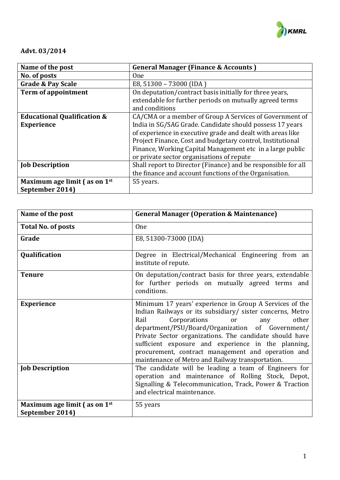

# **Advt. 03/2014**

| Name of the post                       | <b>General Manager (Finance &amp; Accounts)</b>               |
|----------------------------------------|---------------------------------------------------------------|
| No. of posts                           | 0 <sub>ne</sub>                                               |
| <b>Grade &amp; Pay Scale</b>           | E8, 51300 - 73000 (IDA)                                       |
| <b>Term of appointment</b>             | On deputation/contract basis initially for three years,       |
|                                        | extendable for further periods on mutually agreed terms       |
|                                        | and conditions                                                |
| <b>Educational Qualification &amp;</b> | CA/CMA or a member of Group A Services of Government of       |
| <b>Experience</b>                      | India in SG/SAG Grade. Candidate should possess 17 years      |
|                                        | of experience in executive grade and dealt with areas like    |
|                                        | Project Finance, Cost and budgetary control, Institutional    |
|                                        | Finance, Working Capital Management etc in a large public     |
|                                        | or private sector organisations of repute                     |
| <b>Job Description</b>                 | Shall report to Director (Finance) and be responsible for all |
|                                        | the finance and account functions of the Organisation.        |
| Maximum age limit (as on 1st           | 55 years.                                                     |
| September 2014)                        |                                                               |

| Name of the post                                | <b>General Manager (Operation &amp; Maintenance)</b>                                                                                                                                                                                                                                                                                                                                                                                               |
|-------------------------------------------------|----------------------------------------------------------------------------------------------------------------------------------------------------------------------------------------------------------------------------------------------------------------------------------------------------------------------------------------------------------------------------------------------------------------------------------------------------|
| <b>Total No. of posts</b>                       | <b>One</b>                                                                                                                                                                                                                                                                                                                                                                                                                                         |
| Grade                                           | E8, 51300-73000 (IDA)                                                                                                                                                                                                                                                                                                                                                                                                                              |
| Qualification                                   | Degree in Electrical/Mechanical Engineering from an<br>institute of repute.                                                                                                                                                                                                                                                                                                                                                                        |
| <b>Tenure</b>                                   | On deputation/contract basis for three years, extendable<br>for further periods on mutually agreed terms and<br>conditions.                                                                                                                                                                                                                                                                                                                        |
| <b>Experience</b>                               | Minimum 17 years' experience in Group A Services of the<br>Indian Railways or its subsidiary/ sister concerns, Metro<br>Corporations<br>Rail<br>other<br>or<br>any<br>department/PSU/Board/Organization of Government/<br>Private Sector organizations. The candidate should have<br>sufficient exposure and experience in the planning,<br>procurement, contract management and operation and<br>maintenance of Metro and Railway transportation. |
| <b>Job Description</b>                          | The candidate will be leading a team of Engineers for<br>operation and maintenance of Rolling Stock, Depot,<br>Signalling & Telecommunication, Track, Power & Traction<br>and electrical maintenance.                                                                                                                                                                                                                                              |
| Maximum age limit (as on 1st<br>September 2014) | 55 years                                                                                                                                                                                                                                                                                                                                                                                                                                           |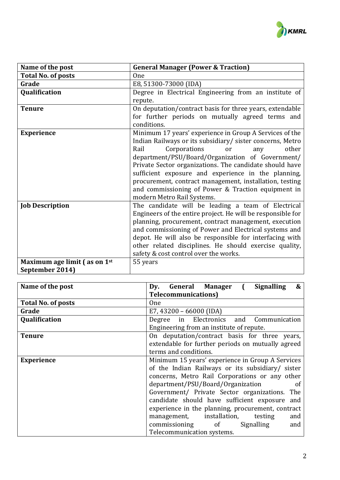

| Name of the post             | <b>General Manager (Power &amp; Traction)</b>               |
|------------------------------|-------------------------------------------------------------|
| <b>Total No. of posts</b>    | <b>One</b>                                                  |
| Grade                        | E8, 51300-73000 (IDA)                                       |
| Qualification                | Degree in Electrical Engineering from an institute of       |
|                              | repute.                                                     |
| <b>Tenure</b>                | On deputation/contract basis for three years, extendable    |
|                              | for further periods on mutually agreed terms and            |
|                              | conditions.                                                 |
| <b>Experience</b>            | Minimum 17 years' experience in Group A Services of the     |
|                              | Indian Railways or its subsidiary/ sister concerns, Metro   |
|                              | Rail<br>Corporations<br>other<br>or<br>any                  |
|                              | department/PSU/Board/Organization of Government/            |
|                              | Private Sector organizations. The candidate should have     |
|                              | sufficient exposure and experience in the planning,         |
|                              | procurement, contract management, installation, testing     |
|                              | and commissioning of Power & Traction equipment in          |
|                              | modern Metro Rail Systems.                                  |
| <b>Job Description</b>       | The candidate will be leading a team of Electrical          |
|                              | Engineers of the entire project. He will be responsible for |
|                              | planning, procurement, contract management, execution       |
|                              | and commissioning of Power and Electrical systems and       |
|                              | depot. He will also be responsible for interfacing with     |
|                              | other related disciplines. He should exercise quality,      |
|                              | safety & cost control over the works.                       |
| Maximum age limit (as on 1st | 55 years                                                    |
| September 2014)              |                                                             |

| Name of the post          | Dy. General Manager (<br><b>Signalling</b><br>&   |
|---------------------------|---------------------------------------------------|
|                           | <b>Telecommunications</b> )                       |
| <b>Total No. of posts</b> | <b>One</b>                                        |
| Grade                     | E7, 43200 - 66000 (IDA)                           |
| Qualification             | Degree in Electronics and Communication           |
|                           | Engineering from an institute of repute.          |
| <b>Tenure</b>             | On deputation/contract basis for three years,     |
|                           | extendable for further periods on mutually agreed |
|                           | terms and conditions.                             |
| <b>Experience</b>         | Minimum 15 years' experience in Group A Services  |
|                           | of the Indian Railways or its subsidiary/ sister  |
|                           | concerns, Metro Rail Corporations or any other    |
|                           | department/PSU/Board/Organization<br>of           |
|                           | Government/ Private Sector organizations. The     |
|                           | candidate should have sufficient exposure and     |
|                           | experience in the planning, procurement, contract |
|                           | management, installation,<br>testing<br>and       |
|                           | commissioning of<br>Signalling<br>and             |
|                           | Telecommunication systems.                        |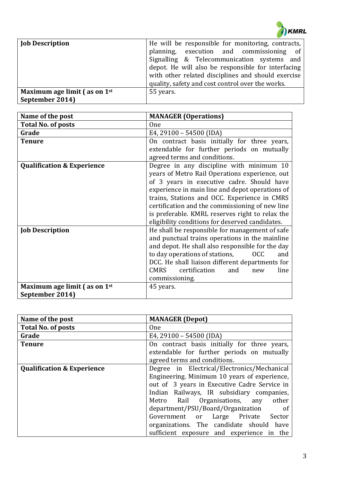

| <b>Job Description</b>                                 | He will be responsible for monitoring, contracts,<br>planning, execution and commissioning of<br>Signalling & Telecommunication systems and<br>depot. He will also be responsible for interfacing<br>with other related disciplines and should exercise<br>quality, safety and cost control over the works. |
|--------------------------------------------------------|-------------------------------------------------------------------------------------------------------------------------------------------------------------------------------------------------------------------------------------------------------------------------------------------------------------|
| Maximum age limit $(a)$ as on $1st$<br>September 2014) | 55 years.                                                                                                                                                                                                                                                                                                   |

| Name of the post                      | <b>MANAGER (Operations)</b>                                                                |
|---------------------------------------|--------------------------------------------------------------------------------------------|
| <b>Total No. of posts</b>             | One                                                                                        |
| Grade                                 | E4, 29100 - 54500 (IDA)                                                                    |
| <b>Tenure</b>                         | On contract basis initially for three years,<br>extendable for further periods on mutually |
|                                       | agreed terms and conditions.                                                               |
| <b>Qualification &amp; Experience</b> | Degree in any discipline with minimum 10<br>years of Metro Rail Operations experience, out |
|                                       | of 3 years in executive cadre. Should have                                                 |
|                                       | experience in main line and depot operations of                                            |
|                                       | trains, Stations and OCC. Experience in CMRS                                               |
|                                       | certification and the commissioning of new line                                            |
|                                       | is preferable. KMRL reserves right to relax the                                            |
|                                       | eligibility conditions for deserved candidates.                                            |
| <b>Job Description</b>                | He shall be responsible for management of safe                                             |
|                                       | and punctual trains operations in the mainline                                             |
|                                       | and depot. He shall also responsible for the day                                           |
|                                       | to day operations of stations,<br><b>OCC</b><br>and                                        |
|                                       | DCC. He shall liaison different departments for                                            |
|                                       | certification<br><b>CMRS</b><br>and<br>line<br>new                                         |
|                                       | commissioning.                                                                             |
| Maximum age limit (as on 1st          | 45 years.                                                                                  |
| September 2014)                       |                                                                                            |

| Name of the post                      | <b>MANAGER</b> (Depot)                                                                                                                                                                                                                                                                                                                                                                                       |
|---------------------------------------|--------------------------------------------------------------------------------------------------------------------------------------------------------------------------------------------------------------------------------------------------------------------------------------------------------------------------------------------------------------------------------------------------------------|
| <b>Total No. of posts</b>             | <b>One</b>                                                                                                                                                                                                                                                                                                                                                                                                   |
| Grade                                 | E4, 29100 - 54500 (IDA)                                                                                                                                                                                                                                                                                                                                                                                      |
| <b>Tenure</b>                         | On contract basis initially for three years,<br>extendable for further periods on mutually<br>agreed terms and conditions.                                                                                                                                                                                                                                                                                   |
|                                       |                                                                                                                                                                                                                                                                                                                                                                                                              |
| <b>Qualification &amp; Experience</b> | Degree in Electrical/Electronics/Mechanical<br>Engineering. Minimum 10 years of experience,<br>out of 3 years in Executive Cadre Service in<br>Indian Railways, IR subsidiary companies,<br>other<br>Metro Rail Organisations, any<br>department/PSU/Board/Organization<br>of<br>Government or Large Private Sector<br>organizations. The candidate should have<br>sufficient exposure and experience in the |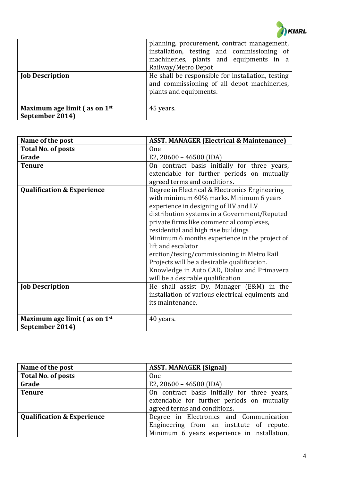

| <b>Job Description</b>                                  | planning, procurement, contract management,<br>installation, testing and commissioning of<br>machineries, plants and equipments in a<br>Railway/Metro Depot<br>He shall be responsible for installation, testing<br>and commissioning of all depot machineries,<br>plants and equipments. |
|---------------------------------------------------------|-------------------------------------------------------------------------------------------------------------------------------------------------------------------------------------------------------------------------------------------------------------------------------------------|
| Maximum age limit $\int$ as on $1st$<br>September 2014) | 45 years.                                                                                                                                                                                                                                                                                 |

| Name of the post                      | <b>ASST. MANAGER (Electrical &amp; Maintenance)</b> |
|---------------------------------------|-----------------------------------------------------|
| <b>Total No. of posts</b>             | <b>One</b>                                          |
| Grade                                 | E2, 20600 - 46500 (IDA)                             |
| <b>Tenure</b>                         | On contract basis initially for three years,        |
|                                       | extendable for further periods on mutually          |
|                                       | agreed terms and conditions.                        |
| <b>Qualification &amp; Experience</b> | Degree in Electrical & Electronics Engineering      |
|                                       | with minimum 60% marks. Minimum 6 years             |
|                                       | experience in designing of HV and LV                |
|                                       | distribution systems in a Government/Reputed        |
|                                       | private firms like commercial complexes,            |
|                                       | residential and high rise buildings                 |
|                                       | Minimum 6 months experience in the project of       |
|                                       | lift and escalator                                  |
|                                       | erction/tesing/commissioning in Metro Rail          |
|                                       | Projects will be a desirable qualification.         |
|                                       | Knowledge in Auto CAD, Dialux and Primavera         |
|                                       | will be a desirable qualification                   |
| <b>Job Description</b>                | He shall assist Dy. Manager (E&M) in the            |
|                                       | installation of various electrical equiments and    |
|                                       | its maintenance.                                    |
|                                       |                                                     |
| Maximum age limit (as on 1st          | 40 years.                                           |
| September 2014)                       |                                                     |

| Name of the post                      | <b>ASST. MANAGER (Signal)</b>                                                                                                      |
|---------------------------------------|------------------------------------------------------------------------------------------------------------------------------------|
| Total No. of posts                    | <b>One</b>                                                                                                                         |
| Grade                                 | E2, 20600 - 46500 (IDA)                                                                                                            |
| <b>Tenure</b>                         | On contract basis initially for three years,<br>extendable for further periods on mutually<br>agreed terms and conditions.         |
| <b>Qualification &amp; Experience</b> | Degree in Electronics and Communication<br>Engineering from an institute of repute.<br>Minimum 6 years experience in installation, |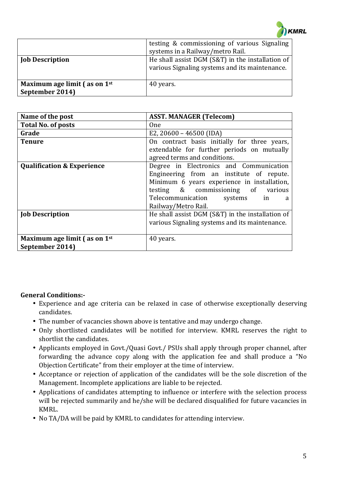

|                                                       | testing & commissioning of various Signaling<br>systems in a Railway/metro Rail.                   |
|-------------------------------------------------------|----------------------------------------------------------------------------------------------------|
| <b>Job Description</b>                                | He shall assist DGM (S&T) in the installation of<br>various Signaling systems and its maintenance. |
| Maximum age limit $(a\sin 1^{st})$<br>September 2014) | 40 years.                                                                                          |

| Name of the post                                     | <b>ASST. MANAGER (Telecom)</b>                                                                                                                                                                                                          |
|------------------------------------------------------|-----------------------------------------------------------------------------------------------------------------------------------------------------------------------------------------------------------------------------------------|
| <b>Total No. of posts</b>                            | <b>One</b>                                                                                                                                                                                                                              |
| Grade                                                | E2, 20600 - 46500 (IDA)                                                                                                                                                                                                                 |
| <b>Tenure</b>                                        | On contract basis initially for three years,<br>extendable for further periods on mutually<br>agreed terms and conditions.                                                                                                              |
| <b>Qualification &amp; Experience</b>                | Degree in Electronics and Communication<br>Engineering from an institute of repute.<br>Minimum 6 years experience in installation,<br>testing & commissioning of various<br>Telecommunication<br>systems in<br>a<br>Railway/Metro Rail. |
| <b>Job Description</b>                               | He shall assist DGM (S&T) in the installation of<br>various Signaling systems and its maintenance.                                                                                                                                      |
| Maximum age limit $($ as on $1st$<br>September 2014) | 40 years.                                                                                                                                                                                                                               |

### **General Conditions:-**

- Experience and age criteria can be relaxed in case of otherwise exceptionally deserving candidates.
- The number of vacancies shown above is tentative and may undergo change.
- Only shortlisted candidates will be notified for interview. KMRL reserves the right to shortlist the candidates.
- Applicants employed in Govt./Quasi Govt./ PSUs shall apply through proper channel, after forwarding the advance copy along with the application fee and shall produce a "No Objection Certificate" from their employer at the time of interview.
- Acceptance or rejection of application of the candidates will be the sole discretion of the Management. Incomplete applications are liable to be rejected.
- Applications of candidates attempting to influence or interfere with the selection process will be rejected summarily and he/she will be declared disqualified for future vacancies in KMRL.
- No TA/DA will be paid by KMRL to candidates for attending interview.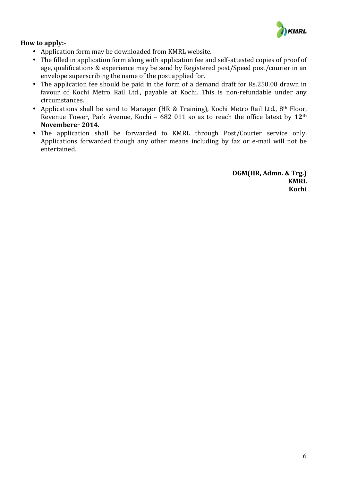

### **How to apply:-**

- Application form may be downloaded from KMRL website.
- The filled in application form along with application fee and self-attested copies of proof of age, qualifications & experience may be send by Registered post/Speed post/courier in an envelope superscribing the name of the post applied for.
- The application fee should be paid in the form of a demand draft for Rs.250.00 drawn in favour of Kochi Metro Rail Ltd., payable at Kochi. This is non-refundable under any circumstances.
- Applications shall be send to Manager (HR & Training), Kochi Metro Rail Ltd., 8<sup>th</sup> Floor, Revenue Tower, Park Avenue, Kochi – 682 011 so as to reach the office latest by  $12<sup>th</sup>$ **Novembere**r **2014.**
- The application shall be forwarded to KMRL through Post/Courier service only. Applications forwarded though any other means including by fax or e-mail will not be entertained.

**DGM(HR, Admn. & Trg.) KMRL Kochi**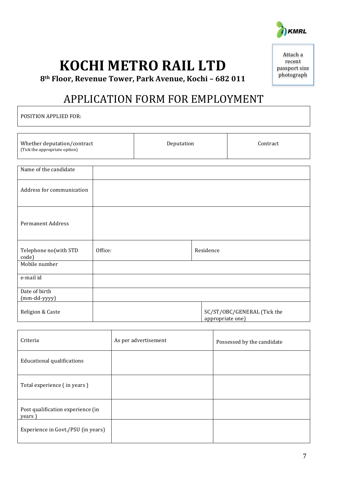

**KOCHI METRO RAIL LTD** 

Attach a recent passport size photograph

**8th Floor, Revenue Tower, Park Avenue, Kochi – 682 011**

# APPLICATION FORM FOR EMPLOYMENT

POSITION APPLIED FOR:

| Whether deputation/contract<br>(Tick the appropriate option) |         | Deputation |                  | Contract                    |
|--------------------------------------------------------------|---------|------------|------------------|-----------------------------|
|                                                              |         |            |                  |                             |
| Name of the candidate                                        |         |            |                  |                             |
| Address for communication                                    |         |            |                  |                             |
| <b>Permanent Address</b>                                     |         |            |                  |                             |
| Telephone no(with STD<br>code)                               | Office: |            | Residence        |                             |
| Mobile number                                                |         |            |                  |                             |
| e-mail id                                                    |         |            |                  |                             |
| Date of birth                                                |         |            |                  |                             |
| (mm-dd-yyyy)                                                 |         |            |                  |                             |
| Religion & Caste                                             |         |            | appropriate one) | SC/ST/OBC/GENERAL (Tick the |

| Criteria                                    | As per advertisement | Possessed by the candidate |
|---------------------------------------------|----------------------|----------------------------|
| Educational qualifications                  |                      |                            |
| Total experience (in years)                 |                      |                            |
| Post qualification experience (in<br>years) |                      |                            |
| Experience in Govt./PSU (in years)          |                      |                            |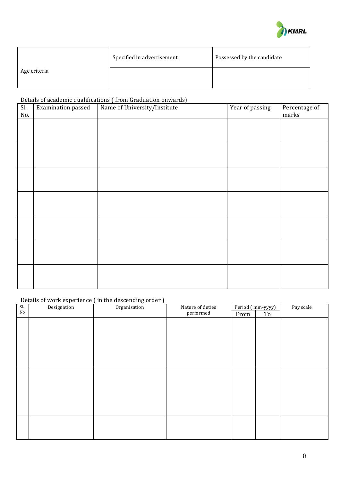

|              | Specified in advertisement | Possessed by the candidate |
|--------------|----------------------------|----------------------------|
| Age criteria |                            |                            |

## Details of academic qualifications ( from Graduation onwards)

| Sl.<br>No. | Examination passed | Name of University/Institute | Year of passing | Percentage of<br>marks |
|------------|--------------------|------------------------------|-----------------|------------------------|
|            |                    |                              |                 |                        |
|            |                    |                              |                 |                        |
|            |                    |                              |                 |                        |
|            |                    |                              |                 |                        |
|            |                    |                              |                 |                        |
|            |                    |                              |                 |                        |
|            |                    |                              |                 |                        |
|            |                    |                              |                 |                        |
|            |                    |                              |                 |                        |
|            |                    |                              |                 |                        |
|            |                    |                              |                 |                        |
|            |                    |                              |                 |                        |
|            |                    |                              |                 |                        |
|            |                    |                              |                 |                        |

# Details of work experience (in the descending order )

| Sl.      | Designation | Organisation | Nature of duties |      | Period (mm-yyyy) | Pay scale |
|----------|-------------|--------------|------------------|------|------------------|-----------|
| $\rm No$ |             |              | performed        | From | To               |           |
|          |             |              |                  |      |                  |           |
|          |             |              |                  |      |                  |           |
|          |             |              |                  |      |                  |           |
|          |             |              |                  |      |                  |           |
|          |             |              |                  |      |                  |           |
|          |             |              |                  |      |                  |           |
|          |             |              |                  |      |                  |           |
|          |             |              |                  |      |                  |           |
|          |             |              |                  |      |                  |           |
|          |             |              |                  |      |                  |           |
|          |             |              |                  |      |                  |           |
|          |             |              |                  |      |                  |           |
|          |             |              |                  |      |                  |           |
|          |             |              |                  |      |                  |           |
|          |             |              |                  |      |                  |           |
|          |             |              |                  |      |                  |           |
|          |             |              |                  |      |                  |           |